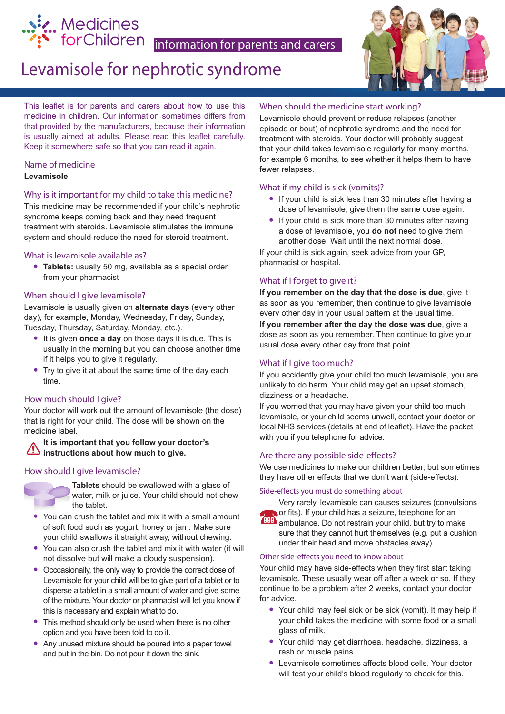

# Levamisole for nephrotic syndrome



This leaflet is for parents and carers about how to use this medicine in children. Our information sometimes differs from that provided by the manufacturers, because their information is usually aimed at adults. Please read this leaflet carefully. Keep it somewhere safe so that you can read it again.

#### Name of medicine **Levamisole**

### Why is it important for my child to take this medicine?

This medicine may be recommended if your child's nephrotic syndrome keeps coming back and they need frequent treatment with steroids. Levamisole stimulates the immune system and should reduce the need for steroid treatment.

#### What is levamisole available as?

**• Tablets:** usually 50 mg, available as a special order from your pharmacist

#### When should I give levamisole?

Levamisole is usually given on **alternate days** (every other day), for example, Monday, Wednesday, Friday, Sunday, Tuesday, Thursday, Saturday, Monday, etc.).

- **•** It is given **once a day** on those days it is due. This is usually in the morning but you can choose another time if it helps you to give it regularly.
- **•** Try to give it at about the same time of the day each time.

#### How much should I give?

Your doctor will work out the amount of levamisole (the dose) that is right for your child. The dose will be shown on the medicine label.

#### **It is important that you follow your doctor's instructions about how much to give.**

#### How should I give levamisole?



- **•** You can crush the tablet and mix it with a small amount of soft food such as yogurt, honey or jam. Make sure your child swallows it straight away, without chewing.
- **•** You can also crush the tablet and mix it with water (it will not dissolve but will make a cloudy suspension).
- **•** Occcasionally, the only way to provide the correct dose of Levamisole for your child will be to give part of a tablet or to disperse a tablet in a small amount of water and give some of the mixture. Your doctor or pharmacist will let you know if this is necessary and explain what to do.
- **•** This method should only be used when there is no other option and you have been told to do it.
- **•** Any unused mixture should be poured into a paper towel and put in the bin. Do not pour it down the sink.

#### When should the medicine start working?

Levamisole should prevent or reduce relapses (another episode or bout) of nephrotic syndrome and the need for treatment with steroids. Your doctor will probably suggest that your child takes levamisole regularly for many months, for example 6 months, to see whether it helps them to have fewer relapses.

#### What if my child is sick (vomits)?

- **•** If your child is sick less than 30 minutes after having a dose of levamisole, give them the same dose again.
- **•** If your child is sick more than 30 minutes after having a dose of levamisole, you **do not** need to give them another dose. Wait until the next normal dose.

If your child is sick again, seek advice from your GP, pharmacist or hospital.

#### What if I forget to give it?

**If you remember on the day that the dose is due**, give it as soon as you remember, then continue to give levamisole every other day in your usual pattern at the usual time.

**If you remember after the day the dose was due**, give a dose as soon as you remember. Then continue to give your usual dose every other day from that point.

#### What if I give too much?

If you accidently give your child too much levamisole, you are unlikely to do harm. Your child may get an upset stomach, dizziness or a headache.

If you worried that you may have given your child too much levamisole, or your child seems unwell, contact your doctor or local NHS services (details at end of leaflet). Have the packet with you if you telephone for advice.

#### Are there any possible side-effects?

We use medicines to make our children better, but sometimes they have other effects that we don't want (side-effects).

#### Side-effects you must do something about



Very rarely, levamisole can causes seizures (convulsions or fits). If your child has a seizure, telephone for an **999** ambulance. Do not restrain your child, but try to make sure that they cannot hurt themselves (e.g. put a cushion under their head and move obstacles away).

#### Other side-effects you need to know about

Your child may have side-effects when they first start taking levamisole. These usually wear off after a week or so. If they continue to be a problem after 2 weeks, contact your doctor for advice.

- **•** Your child may feel sick or be sick (vomit). It may help if your child takes the medicine with some food or a small glass of milk.
- **•** Your child may get diarrhoea, headache, dizziness, a rash or muscle pains.
- **•** Levamisole sometimes affects blood cells. Your doctor will test your child's blood regularly to check for this.